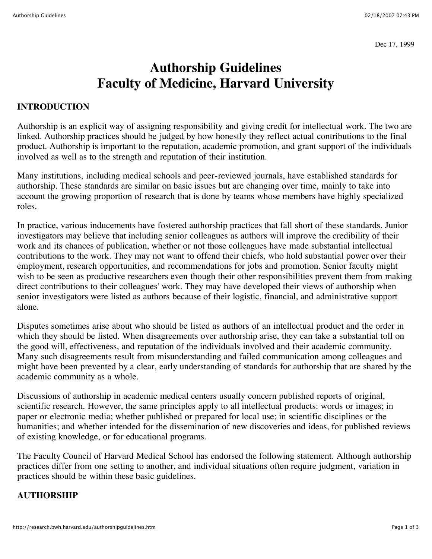Dec 17, 1999

# **Authorship Guidelines Faculty of Medicine, Harvard University**

#### **INTRODUCTION**

Authorship is an explicit way of assigning responsibility and giving credit for intellectual work. The two are linked. Authorship practices should be judged by how honestly they reflect actual contributions to the final product. Authorship is important to the reputation, academic promotion, and grant support of the individuals involved as well as to the strength and reputation of their institution.

Many institutions, including medical schools and peer-reviewed journals, have established standards for authorship. These standards are similar on basic issues but are changing over time, mainly to take into account the growing proportion of research that is done by teams whose members have highly specialized roles.

In practice, various inducements have fostered authorship practices that fall short of these standards. Junior investigators may believe that including senior colleagues as authors will improve the credibility of their work and its chances of publication, whether or not those colleagues have made substantial intellectual contributions to the work. They may not want to offend their chiefs, who hold substantial power over their employment, research opportunities, and recommendations for jobs and promotion. Senior faculty might wish to be seen as productive researchers even though their other responsibilities prevent them from making direct contributions to their colleagues' work. They may have developed their views of authorship when senior investigators were listed as authors because of their logistic, financial, and administrative support alone.

Disputes sometimes arise about who should be listed as authors of an intellectual product and the order in which they should be listed. When disagreements over authorship arise, they can take a substantial toll on the good will, effectiveness, and reputation of the individuals involved and their academic community. Many such disagreements result from misunderstanding and failed communication among colleagues and might have been prevented by a clear, early understanding of standards for authorship that are shared by the academic community as a whole.

Discussions of authorship in academic medical centers usually concern published reports of original, scientific research. However, the same principles apply to all intellectual products: words or images; in paper or electronic media; whether published or prepared for local use; in scientific disciplines or the humanities; and whether intended for the dissemination of new discoveries and ideas, for published reviews of existing knowledge, or for educational programs.

The Faculty Council of Harvard Medical School has endorsed the following statement. Although authorship practices differ from one setting to another, and individual situations often require judgment, variation in practices should be within these basic guidelines.

#### **AUTHORSHIP**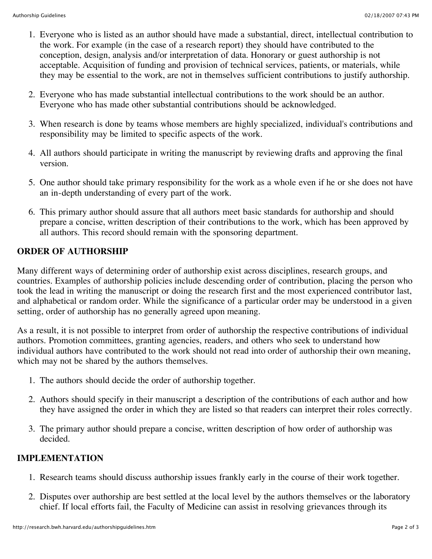- 1. Everyone who is listed as an author should have made a substantial, direct, intellectual contribution to the work. For example (in the case of a research report) they should have contributed to the conception, design, analysis and/or interpretation of data. Honorary or guest authorship is not acceptable. Acquisition of funding and provision of technical services, patients, or materials, while they may be essential to the work, are not in themselves sufficient contributions to justify authorship.
- 2. Everyone who has made substantial intellectual contributions to the work should be an author. Everyone who has made other substantial contributions should be acknowledged.
- 3. When research is done by teams whose members are highly specialized, individual's contributions and responsibility may be limited to specific aspects of the work.
- 4. All authors should participate in writing the manuscript by reviewing drafts and approving the final version.
- 5. One author should take primary responsibility for the work as a whole even if he or she does not have an in-depth understanding of every part of the work.
- 6. This primary author should assure that all authors meet basic standards for authorship and should prepare a concise, written description of their contributions to the work, which has been approved by all authors. This record should remain with the sponsoring department.

## **ORDER OF AUTHORSHIP**

Many different ways of determining order of authorship exist across disciplines, research groups, and countries. Examples of authorship policies include descending order of contribution, placing the person who took the lead in writing the manuscript or doing the research first and the most experienced contributor last, and alphabetical or random order. While the significance of a particular order may be understood in a given setting, order of authorship has no generally agreed upon meaning.

As a result, it is not possible to interpret from order of authorship the respective contributions of individual authors. Promotion committees, granting agencies, readers, and others who seek to understand how individual authors have contributed to the work should not read into order of authorship their own meaning, which may not be shared by the authors themselves.

- 1. The authors should decide the order of authorship together.
- 2. Authors should specify in their manuscript a description of the contributions of each author and how they have assigned the order in which they are listed so that readers can interpret their roles correctly.
- 3. The primary author should prepare a concise, written description of how order of authorship was decided.

### **IMPLEMENTATION**

- 1. Research teams should discuss authorship issues frankly early in the course of their work together.
- 2. Disputes over authorship are best settled at the local level by the authors themselves or the laboratory chief. If local efforts fail, the Faculty of Medicine can assist in resolving grievances through its